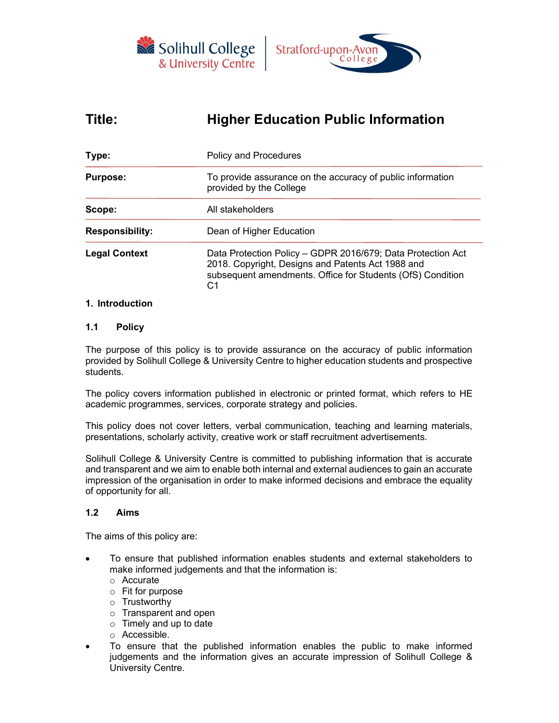



# Title: Higher Education Public Information

| Type:                  | <b>Policy and Procedures</b>                                                                                                                                                         |  |  |
|------------------------|--------------------------------------------------------------------------------------------------------------------------------------------------------------------------------------|--|--|
| <b>Purpose:</b>        | To provide assurance on the accuracy of public information<br>provided by the College                                                                                                |  |  |
| Scope:                 | All stakeholders                                                                                                                                                                     |  |  |
| <b>Responsibility:</b> | Dean of Higher Education                                                                                                                                                             |  |  |
| <b>Legal Context</b>   | Data Protection Policy - GDPR 2016/679; Data Protection Act<br>2018. Copyright, Designs and Patents Act 1988 and<br>subsequent amendments. Office for Students (OfS) Condition<br>C1 |  |  |

## 1. Introduction

## 1.1 Policy

The purpose of this policy is to provide assurance on the accuracy of public information provided by Solihull College & University Centre to higher education students and prospective students.

The policy covers information published in electronic or printed format, which refers to HE academic programmes, services, corporate strategy and policies.

This policy does not cover letters, verbal communication, teaching and learning materials, presentations, scholarly activity, creative work or staff recruitment advertisements.

Solihull College & University Centre is committed to publishing information that is accurate and transparent and we aim to enable both internal and external audiences to gain an accurate impression of the organisation in order to make informed decisions and embrace the equality of opportunity for all.

## 1.2 Aims

The aims of this policy are:

- To ensure that published information enables students and external stakeholders to make informed judgements and that the information is:
	- o Accurate
	- o Fit for purpose
	- o Trustworthy
	- o Transparent and open
	- $\circ$  Timely and up to date
	- o Accessible.
- To ensure that the published information enables the public to make informed judgements and the information gives an accurate impression of Solihull College & University Centre.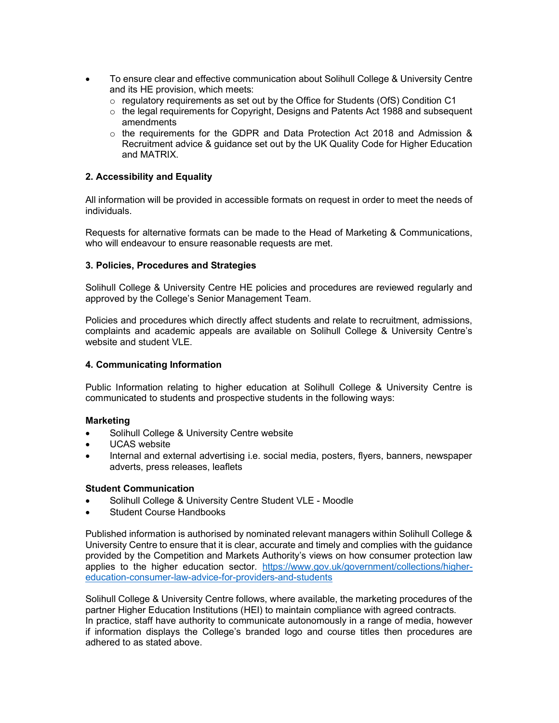- To ensure clear and effective communication about Solihull College & University Centre and its HE provision, which meets:
	- $\circ$  regulatory requirements as set out by the Office for Students (OfS) Condition C1
	- $\circ$  the legal requirements for Copyright, Designs and Patents Act 1988 and subsequent amendments
	- o the requirements for the GDPR and Data Protection Act 2018 and Admission & Recruitment advice & guidance set out by the UK Quality Code for Higher Education and MATRIX.

## 2. Accessibility and Equality

All information will be provided in accessible formats on request in order to meet the needs of individuals.

Requests for alternative formats can be made to the Head of Marketing & Communications, who will endeavour to ensure reasonable requests are met.

## 3. Policies, Procedures and Strategies

Solihull College & University Centre HE policies and procedures are reviewed regularly and approved by the College's Senior Management Team.

Policies and procedures which directly affect students and relate to recruitment, admissions, complaints and academic appeals are available on Solihull College & University Centre's website and student VLE.

## 4. Communicating Information

Public Information relating to higher education at Solihull College & University Centre is communicated to students and prospective students in the following ways:

## Marketing

- Solihull College & University Centre website
- UCAS website
- Internal and external advertising i.e. social media, posters, flyers, banners, newspaper adverts, press releases, leaflets

#### Student Communication

- Solihull College & University Centre Student VLE Moodle
- Student Course Handbooks

Published information is authorised by nominated relevant managers within Solihull College & University Centre to ensure that it is clear, accurate and timely and complies with the guidance provided by the Competition and Markets Authority's views on how consumer protection law applies to the higher education sector. https://www.gov.uk/government/collections/highereducation-consumer-law-advice-for-providers-and-students

Solihull College & University Centre follows, where available, the marketing procedures of the partner Higher Education Institutions (HEI) to maintain compliance with agreed contracts. In practice, staff have authority to communicate autonomously in a range of media, however if information displays the College's branded logo and course titles then procedures are adhered to as stated above.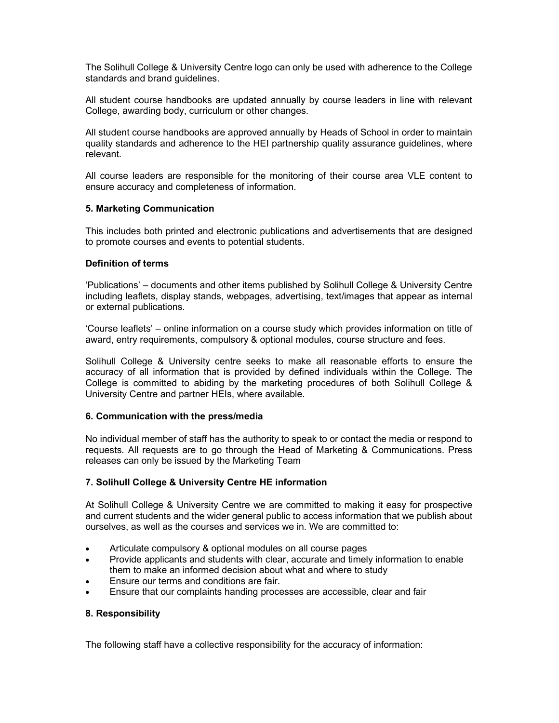The Solihull College & University Centre logo can only be used with adherence to the College standards and brand guidelines.

All student course handbooks are updated annually by course leaders in line with relevant College, awarding body, curriculum or other changes.

All student course handbooks are approved annually by Heads of School in order to maintain quality standards and adherence to the HEI partnership quality assurance guidelines, where relevant.

All course leaders are responsible for the monitoring of their course area VLE content to ensure accuracy and completeness of information.

## 5. Marketing Communication

This includes both printed and electronic publications and advertisements that are designed to promote courses and events to potential students.

## Definition of terms

'Publications' – documents and other items published by Solihull College & University Centre including leaflets, display stands, webpages, advertising, text/images that appear as internal or external publications.

'Course leaflets' – online information on a course study which provides information on title of award, entry requirements, compulsory & optional modules, course structure and fees.

Solihull College & University centre seeks to make all reasonable efforts to ensure the accuracy of all information that is provided by defined individuals within the College. The College is committed to abiding by the marketing procedures of both Solihull College & University Centre and partner HEIs, where available.

#### 6. Communication with the press/media

No individual member of staff has the authority to speak to or contact the media or respond to requests. All requests are to go through the Head of Marketing & Communications. Press releases can only be issued by the Marketing Team

#### 7. Solihull College & University Centre HE information

At Solihull College & University Centre we are committed to making it easy for prospective and current students and the wider general public to access information that we publish about ourselves, as well as the courses and services we in. We are committed to:

- Articulate compulsory & optional modules on all course pages
- Provide applicants and students with clear, accurate and timely information to enable them to make an informed decision about what and where to study
- Ensure our terms and conditions are fair.
- Ensure that our complaints handing processes are accessible, clear and fair

#### 8. Responsibility

The following staff have a collective responsibility for the accuracy of information: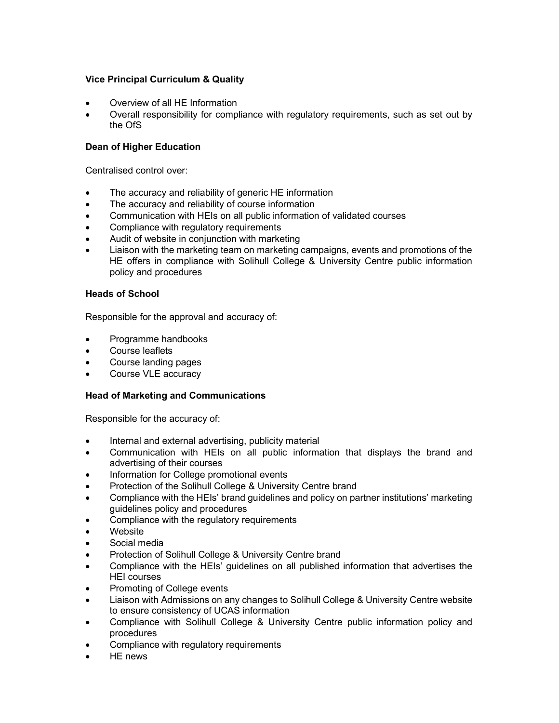# Vice Principal Curriculum & Quality

- Overview of all HE Information
- Overall responsibility for compliance with regulatory requirements, such as set out by the OfS

# Dean of Higher Education

Centralised control over:

- The accuracy and reliability of generic HE information
- The accuracy and reliability of course information
- Communication with HEIs on all public information of validated courses
- Compliance with regulatory requirements
- Audit of website in conjunction with marketing
- Liaison with the marketing team on marketing campaigns, events and promotions of the HE offers in compliance with Solihull College & University Centre public information policy and procedures

## Heads of School

Responsible for the approval and accuracy of:

- Programme handbooks
- Course leaflets
- Course landing pages
- Course VLE accuracy

## Head of Marketing and Communications

Responsible for the accuracy of:

- Internal and external advertising, publicity material
- Communication with HEIs on all public information that displays the brand and advertising of their courses
- Information for College promotional events
- Protection of the Solihull College & University Centre brand
- Compliance with the HEIs' brand guidelines and policy on partner institutions' marketing guidelines policy and procedures
- Compliance with the regulatory requirements
- **Website**
- Social media
- Protection of Solihull College & University Centre brand
- Compliance with the HEIs' guidelines on all published information that advertises the HEI courses
- Promoting of College events
- Liaison with Admissions on any changes to Solihull College & University Centre website to ensure consistency of UCAS information
- Compliance with Solihull College & University Centre public information policy and procedures
- Compliance with regulatory requirements
- HE news